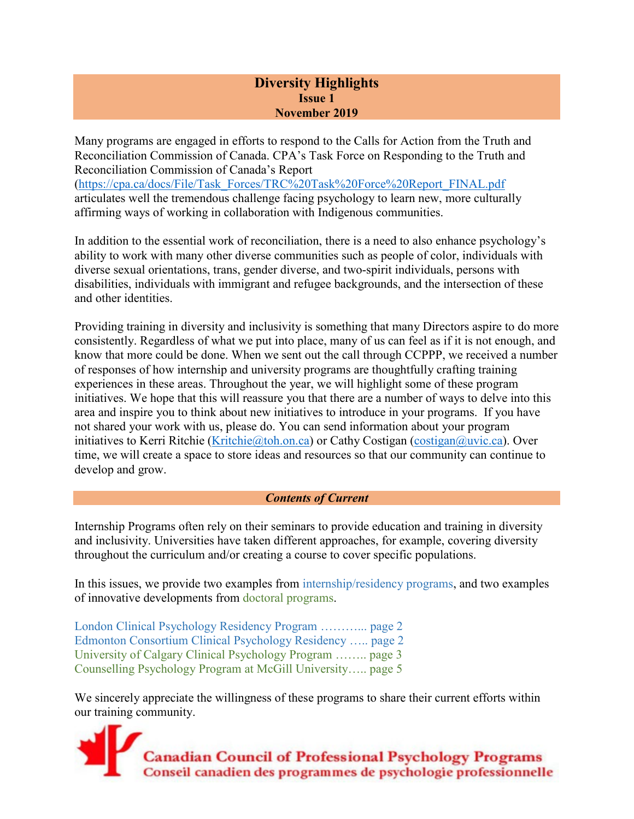# **Diversity Highlights Issue 1 November 2019**

Many programs are engaged in efforts to respond to the Calls for Action from the Truth and Reconciliation Commission of Canada. CPA's Task Force on Responding to the Truth and Reconciliation Commission of Canada's Report [\(https://cpa.ca/docs/File/Task\\_Forces/TRC%20Task%20Force%20Report\\_FINAL.pdf](https://cpa.ca/docs/File/Task_Forces/TRC%20Task%20Force%20Report_FINAL.pdf) articulates well the tremendous challenge facing psychology to learn new, more culturally affirming ways of working in collaboration with Indigenous communities.

In addition to the essential work of reconciliation, there is a need to also enhance psychology's ability to work with many other diverse communities such as people of color, individuals with diverse sexual orientations, trans, gender diverse, and two-spirit individuals, persons with disabilities, individuals with immigrant and refugee backgrounds, and the intersection of these and other identities.

Providing training in diversity and inclusivity is something that many Directors aspire to do more consistently. Regardless of what we put into place, many of us can feel as if it is not enough, and know that more could be done. When we sent out the call through CCPPP, we received a number of responses of how internship and university programs are thoughtfully crafting training experiences in these areas. Throughout the year, we will highlight some of these program initiatives. We hope that this will reassure you that there are a number of ways to delve into this area and inspire you to think about new initiatives to introduce in your programs. If you have not shared your work with us, please do. You can send information about your program initiatives to Kerri Ritchie (Kritchie @toh.on.ca) or Cathy Costigan (costigan @uvic.ca). Over time, we will create a space to store ideas and resources so that our community can continue to develop and grow.

## *Contents of Current*

Internship Programs often rely on their seminars to provide education and training in diversity and inclusivity. Universities have taken different approaches, for example, covering diversity throughout the curriculum and/or creating a course to cover specific populations.

In this issues, we provide two examples from internship/residency programs, and two examples of innovative developments from doctoral programs.

London Clinical Psychology Residency Program ………... page 2 Edmonton Consortium Clinical Psychology Residency ….. page 2 University of Calgary Clinical Psychology Program …….. page 3 Counselling Psychology Program at McGill University….. page 5

We sincerely appreciate the willingness of these programs to share their current efforts within our training community.

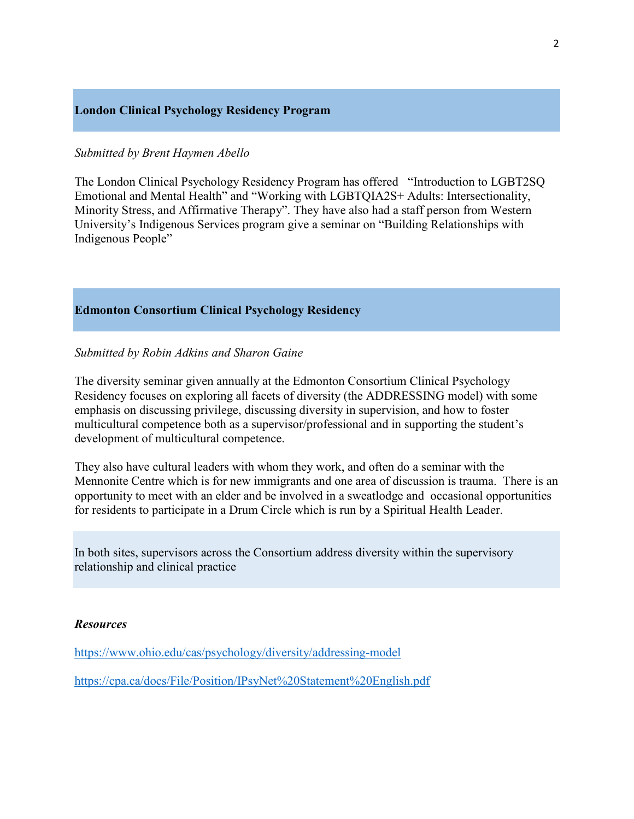### **London Clinical Psychology Residency Program**

### *Submitted by Brent Haymen Abello*

The London Clinical Psychology Residency Program has offered "Introduction to LGBT2SQ Emotional and Mental Health" and "Working with LGBTQIA2S+ Adults: Intersectionality, Minority Stress, and Affirmative Therapy". They have also had a staff person from Western University's Indigenous Services program give a seminar on "Building Relationships with Indigenous People"

## **Edmonton Consortium Clinical Psychology Residency**

### *Submitted by Robin Adkins and Sharon Gaine*

The diversity seminar given annually at the Edmonton Consortium Clinical Psychology Residency focuses on exploring all facets of diversity (the ADDRESSING model) with some emphasis on discussing privilege, discussing diversity in supervision, and how to foster multicultural competence both as a supervisor/professional and in supporting the student's development of multicultural competence.

They also have cultural leaders with whom they work, and often do a seminar with the Mennonite Centre which is for new immigrants and one area of discussion is trauma. There is an opportunity to meet with an elder and be involved in a sweatlodge and occasional opportunities for residents to participate in a Drum Circle which is run by a Spiritual Health Leader.

In both sites, supervisors across the Consortium address diversity within the supervisory relationship and clinical practice

#### *Resources*

<https://www.ohio.edu/cas/psychology/diversity/addressing-model>

<https://cpa.ca/docs/File/Position/IPsyNet%20Statement%20English.pdf>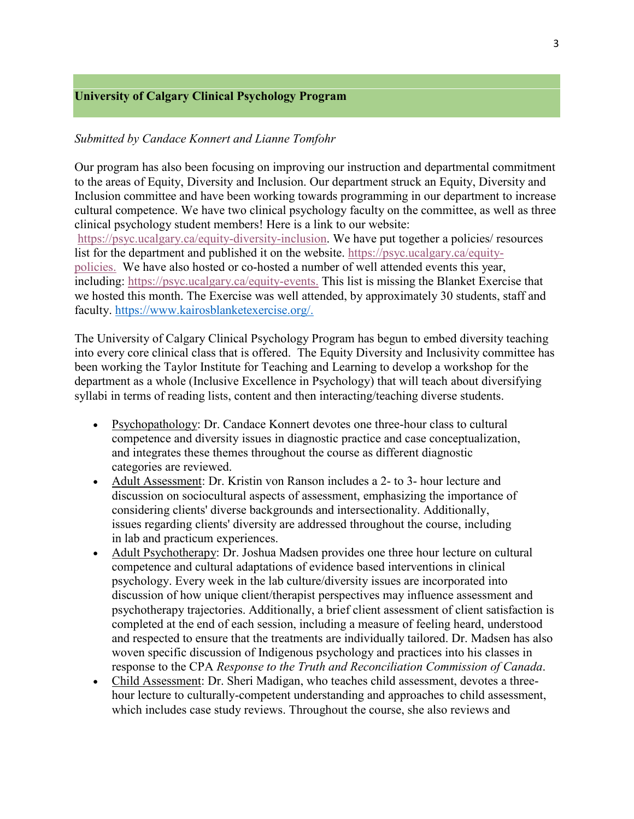## **University of Calgary Clinical Psychology Program**

## *Submitted by Candace Konnert and Lianne Tomfohr*

Our program has also been focusing on improving our instruction and departmental commitment to the areas of Equity, Diversity and Inclusion. Our department struck an Equity, Diversity and Inclusion committee and have been working towards programming in our department to increase cultural competence. We have two clinical psychology faculty on the committee, as well as three clinical psychology student members! Here is a link to our website: [https://psyc.ucalgary.ca/equity-diversity-inclusion.](https://psyc.ucalgary.ca/equity-diversity-inclusion) We have put together a policies/ resources list for the department and published it on the website. [https://psyc.ucalgary.ca/equity](https://psyc.ucalgary.ca/equity-policies)[policies.](https://psyc.ucalgary.ca/equity-policies) We have also hosted or co-hosted a number of well attended events this year, including: [https://psyc.ucalgary.ca/equity-events.](https://psyc.ucalgary.ca/equity-events) This list is missing the Blanket Exercise that we hosted this month. The Exercise was well attended, by approximately 30 students, staff and faculty. [https://www.kairosblanketexercise.org/.](https://www.kairosblanketexercise.org/)

The University of Calgary Clinical Psychology Program has begun to embed diversity teaching into every core clinical class that is offered. The Equity Diversity and Inclusivity committee has been working the Taylor Institute for Teaching and Learning to develop a workshop for the department as a whole (Inclusive Excellence in Psychology) that will teach about diversifying syllabi in terms of reading lists, content and then interacting/teaching diverse students.

- Psychopathology: Dr. Candace Konnert devotes one three-hour class to cultural competence and diversity issues in diagnostic practice and case conceptualization, and integrates these themes throughout the course as different diagnostic categories are reviewed.
- Adult Assessment: Dr. Kristin von Ranson includes a 2- to 3- hour lecture and discussion on sociocultural aspects of assessment, emphasizing the importance of considering clients' diverse backgrounds and intersectionality. Additionally, issues regarding clients' diversity are addressed throughout the course, including in lab and practicum experiences.
- Adult Psychotherapy: Dr. Joshua Madsen provides one three hour lecture on cultural competence and cultural adaptations of evidence based interventions in clinical psychology. Every week in the lab culture/diversity issues are incorporated into discussion of how unique client/therapist perspectives may influence assessment and psychotherapy trajectories. Additionally, a brief client assessment of client satisfaction is completed at the end of each session, including a measure of feeling heard, understood and respected to ensure that the treatments are individually tailored. Dr. Madsen has also woven specific discussion of Indigenous psychology and practices into his classes in response to the CPA *Response to the Truth and Reconciliation Commission of Canada*.
- Child Assessment: Dr. Sheri Madigan, who teaches child assessment, devotes a threehour lecture to culturally-competent understanding and approaches to child assessment, which includes case study reviews. Throughout the course, she also reviews and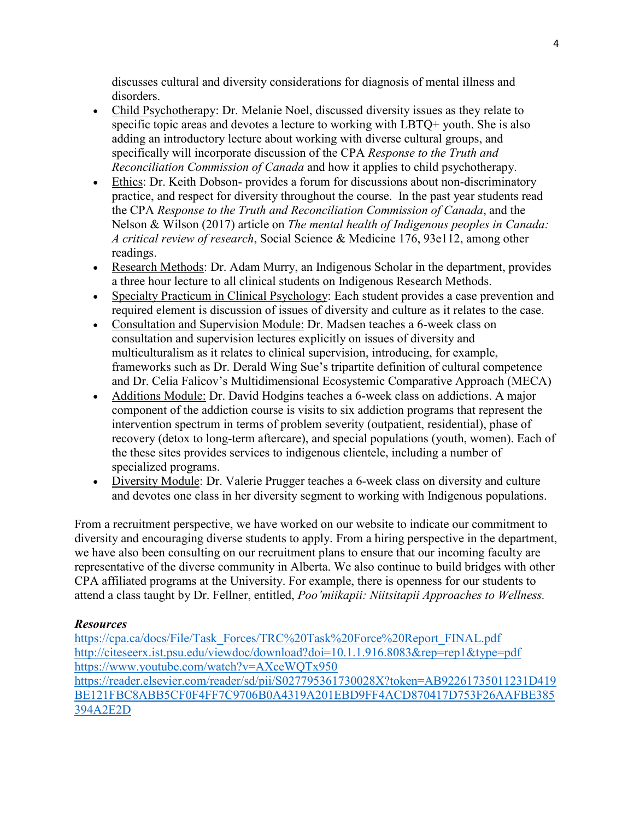discusses cultural and diversity considerations for diagnosis of mental illness and disorders.

- Child Psychotherapy: Dr. Melanie Noel, discussed diversity issues as they relate to specific topic areas and devotes a lecture to working with LBTQ+ youth. She is also adding an introductory lecture about working with diverse cultural groups, and specifically will incorporate discussion of the CPA *Response to the Truth and Reconciliation Commission of Canada* and how it applies to child psychotherapy.
- Ethics: Dr. Keith Dobson- provides a forum for discussions about non-discriminatory practice, and respect for diversity throughout the course. In the past year students read the CPA *Response to the Truth and Reconciliation Commission of Canada*, and the Nelson & Wilson (2017) article on *The mental health of Indigenous peoples in Canada: A critical review of research*, Social Science & Medicine 176, 93e112, among other readings.
- Research Methods: Dr. Adam Murry, an Indigenous Scholar in the department, provides a three hour lecture to all clinical students on Indigenous Research Methods.
- Specialty Practicum in Clinical Psychology: Each student provides a case prevention and required element is discussion of issues of diversity and culture as it relates to the case.
- Consultation and Supervision Module: Dr. Madsen teaches a 6-week class on consultation and supervision lectures explicitly on issues of diversity and multiculturalism as it relates to clinical supervision, introducing, for example, frameworks such as Dr. Derald Wing Sue's tripartite definition of cultural competence and Dr. Celia Falicov's Multidimensional Ecosystemic Comparative Approach (MECA)
- Additions Module: Dr. David Hodgins teaches a 6-week class on addictions. A major component of the addiction course is visits to six addiction programs that represent the intervention spectrum in terms of problem severity (outpatient, residential), phase of recovery (detox to long-term aftercare), and special populations (youth, women). Each of the these sites provides services to indigenous clientele, including a number of specialized programs.
- Diversity Module: Dr. Valerie Prugger teaches a 6-week class on diversity and culture and devotes one class in her diversity segment to working with Indigenous populations.

From a recruitment perspective, we have worked on our website to indicate our commitment to diversity and encouraging diverse students to apply. From a hiring perspective in the department, we have also been consulting on our recruitment plans to ensure that our incoming faculty are representative of the diverse community in Alberta. We also continue to build bridges with other CPA affiliated programs at the University. For example, there is openness for our students to attend a class taught by Dr. Fellner, entitled, *Poo'miikapii: Niitsitapii Approaches to Wellness.*

# *Resources*

[https://cpa.ca/docs/File/Task\\_Forces/TRC%20Task%20Force%20Report\\_FINAL.pdf](https://cpa.ca/docs/File/Task_Forces/TRC%20Task%20Force%20Report_FINAL.pdf) <http://citeseerx.ist.psu.edu/viewdoc/download?doi=10.1.1.916.8083&rep=rep1&type=pdf> <https://www.youtube.com/watch?v=AXceWQTx950> [https://reader.elsevier.com/reader/sd/pii/S027795361730028X?token=AB92261735011231D419](https://reader.elsevier.com/reader/sd/pii/S027795361730028X?token=AB92261735011231D419BE121FBC8ABB5CF0F4FF7C9706B0A4319A201EBD9FF4ACD870417D753F26AAFBE385394A2E2D) [BE121FBC8ABB5CF0F4FF7C9706B0A4319A201EBD9FF4ACD870417D753F26AAFBE385](https://reader.elsevier.com/reader/sd/pii/S027795361730028X?token=AB92261735011231D419BE121FBC8ABB5CF0F4FF7C9706B0A4319A201EBD9FF4ACD870417D753F26AAFBE385394A2E2D) [394A2E2D](https://reader.elsevier.com/reader/sd/pii/S027795361730028X?token=AB92261735011231D419BE121FBC8ABB5CF0F4FF7C9706B0A4319A201EBD9FF4ACD870417D753F26AAFBE385394A2E2D)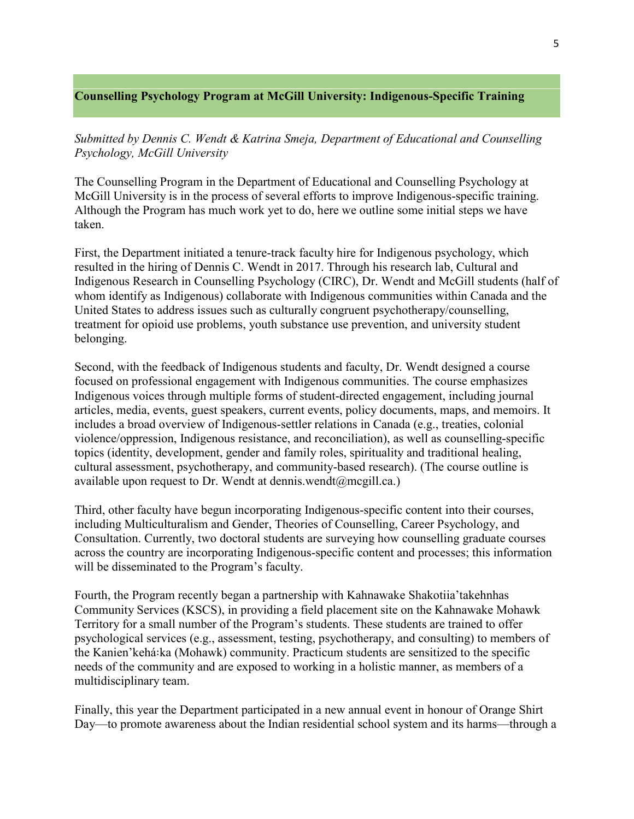# **Counselling Psychology Program at McGill University: Indigenous-Specific Training**

*Submitted by Dennis C. Wendt & Katrina Smeja, Department of Educational and Counselling Psychology, McGill University*

The Counselling Program in the Department of Educational and Counselling Psychology at McGill University is in the process of several efforts to improve Indigenous-specific training. Although the Program has much work yet to do, here we outline some initial steps we have taken.

First, the Department initiated a tenure-track faculty hire for Indigenous psychology, which resulted in the hiring of Dennis C. Wendt in 2017. Through his research lab, Cultural and Indigenous Research in Counselling Psychology (CIRC), Dr. Wendt and McGill students (half of whom identify as Indigenous) collaborate with Indigenous communities within Canada and the United States to address issues such as culturally congruent psychotherapy/counselling, treatment for opioid use problems, youth substance use prevention, and university student belonging.

Second, with the feedback of Indigenous students and faculty, Dr. Wendt designed a course focused on professional engagement with Indigenous communities. The course emphasizes Indigenous voices through multiple forms of student-directed engagement, including journal articles, media, events, guest speakers, current events, policy documents, maps, and memoirs. It includes a broad overview of Indigenous-settler relations in Canada (e.g., treaties, colonial violence/oppression, Indigenous resistance, and reconciliation), as well as counselling-specific topics (identity, development, gender and family roles, spirituality and traditional healing, cultural assessment, psychotherapy, and community-based research). (The course outline is available upon request to Dr. Wendt at dennis.wendt@mcgill.ca.)

Third, other faculty have begun incorporating Indigenous-specific content into their courses, including Multiculturalism and Gender, Theories of Counselling, Career Psychology, and Consultation. Currently, two doctoral students are surveying how counselling graduate courses across the country are incorporating Indigenous-specific content and processes; this information will be disseminated to the Program's faculty.

Fourth, the Program recently began a partnership with Kahnawake Shakotiia'takehnhas Community Services (KSCS), in providing a field placement site on the Kahnawake Mohawk Territory for a small number of the Program's students. These students are trained to offer psychological services (e.g., assessment, testing, psychotherapy, and consulting) to members of the Kanien'kehá:ka (Mohawk) community. Practicum students are sensitized to the specific needs of the community and are exposed to working in a holistic manner, as members of a multidisciplinary team.

Finally, this year the Department participated in a new annual event in honour of Orange Shirt Day—to promote awareness about the Indian residential school system and its harms—through a